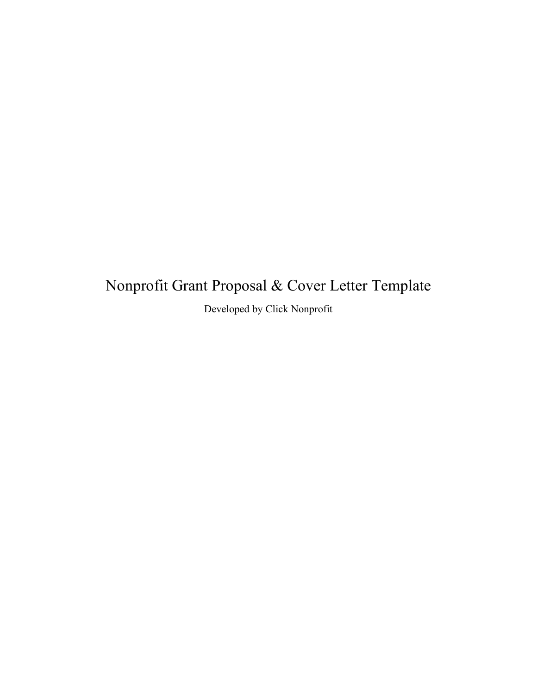# Nonprofit Grant Proposal & Cover Letter Template

Developed by Click Nonprofit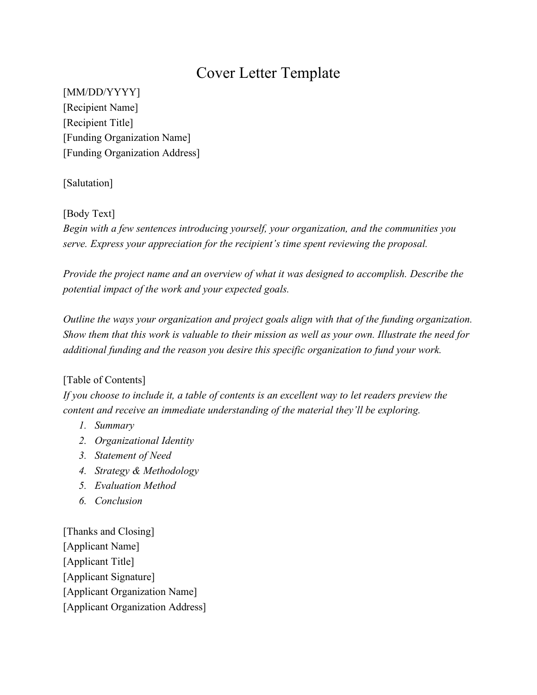# Cover Letter Template

[MM/DD/YYYY] [Recipient Name] [Recipient Title] [Funding Organization Name] [Funding Organization Address]

[Salutation]

#### [Body Text]

*Begin with a few sentences introducing yourself, your organization, and the communities you serve. Express your appreciation for the recipient's time spent reviewing the proposal.*

*Provide the project name and an overview of what it was designed to accomplish. Describe the potential impact of the work and your expected goals.* 

*Outline the ways your organization and project goals align with that of the funding organization. Show them that this work is valuable to their mission as well as your own. Illustrate the need for additional funding and the reason you desire this specific organization to fund your work.*

# [Table of Contents]

*If you choose to include it, a table of contents is an excellent way to let readers preview the content and receive an immediate understanding of the material they'll be exploring.* 

- *1. Summary*
- *2. Organizational Identity*
- *3. Statement of Need*
- *4. Strategy & Methodology*
- *5. Evaluation Method*
- *6. Conclusion*

[Thanks and Closing] [Applicant Name] [Applicant Title] [Applicant Signature] [Applicant Organization Name] [Applicant Organization Address]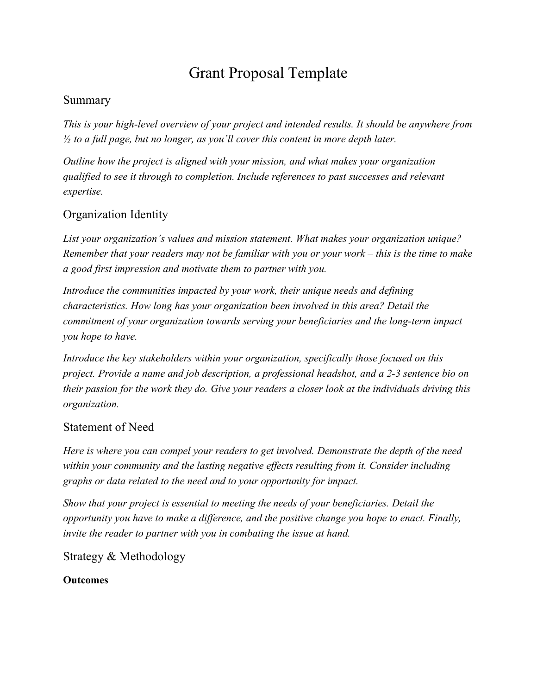# Grant Proposal Template

# Summary

*This is your high-level overview of your project and intended results. It should be anywhere from ½ to a full page, but no longer, as you'll cover this content in more depth later.*

*Outline how the project is aligned with your mission, and what makes your organization qualified to see it through to completion. Include references to past successes and relevant expertise.* 

# Organization Identity

*List your organization's values and mission statement. What makes your organization unique? Remember that your readers may not be familiar with you or your work – this is the time to make a good first impression and motivate them to partner with you.*

*Introduce the communities impacted by your work, their unique needs and defining characteristics. How long has your organization been involved in this area? Detail the commitment of your organization towards serving your beneficiaries and the long-term impact you hope to have.*

*Introduce the key stakeholders within your organization, specifically those focused on this project. Provide a name and job description, a professional headshot, and a 2-3 sentence bio on their passion for the work they do. Give your readers a closer look at the individuals driving this organization.* 

# Statement of Need

*Here is where you can compel your readers to get involved. Demonstrate the depth of the need within your community and the lasting negative effects resulting from it. Consider including graphs or data related to the need and to your opportunity for impact.* 

*Show that your project is essential to meeting the needs of your beneficiaries. Detail the opportunity you have to make a difference, and the positive change you hope to enact. Finally, invite the reader to partner with you in combating the issue at hand.*

Strategy & Methodology

#### **Outcomes**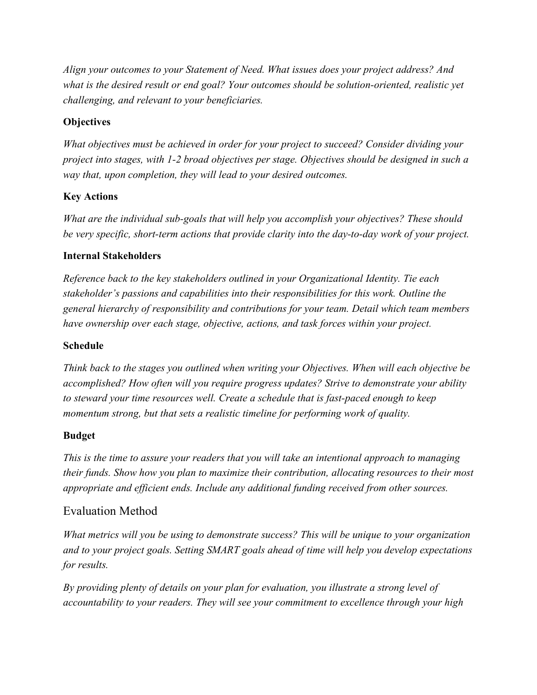*Align your outcomes to your Statement of Need. What issues does your project address? And what is the desired result or end goal? Your outcomes should be solution-oriented, realistic yet challenging, and relevant to your beneficiaries.* 

#### **Objectives**

*What objectives must be achieved in order for your project to succeed? Consider dividing your project into stages, with 1-2 broad objectives per stage. Objectives should be designed in such a way that, upon completion, they will lead to your desired outcomes.* 

#### **Key Actions**

*What are the individual sub-goals that will help you accomplish your objectives? These should be very specific, short-term actions that provide clarity into the day-to-day work of your project.* 

#### **Internal Stakeholders**

*Reference back to the key stakeholders outlined in your Organizational Identity. Tie each stakeholder's passions and capabilities into their responsibilities for this work. Outline the general hierarchy of responsibility and contributions for your team. Detail which team members have ownership over each stage, objective, actions, and task forces within your project.* 

#### **Schedule**

*Think back to the stages you outlined when writing your Objectives. When will each objective be accomplished? How often will you require progress updates? Strive to demonstrate your ability to steward your time resources well. Create a schedule that is fast-paced enough to keep momentum strong, but that sets a realistic timeline for performing work of quality.*

#### **Budget**

*This is the time to assure your readers that you will take an intentional approach to managing their funds. Show how you plan to maximize their contribution, allocating resources to their most appropriate and efficient ends. Include any additional funding received from other sources.* 

# Evaluation Method

*What metrics will you be using to demonstrate success? This will be unique to your organization and to your project goals. Setting SMART goals ahead of time will help you develop expectations for results.* 

*By providing plenty of details on your plan for evaluation, you illustrate a strong level of accountability to your readers. They will see your commitment to excellence through your high*